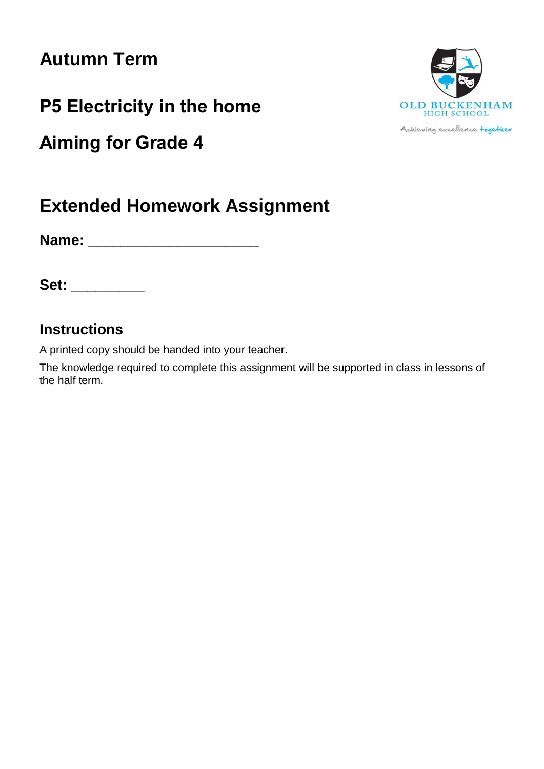# **Autumn Term**

**P5 Electricity in the home**

**Aiming for Grade 4**



**Name: \_\_\_\_\_\_\_\_\_\_\_\_\_\_\_\_\_\_\_\_\_**

**Set: \_\_\_\_\_\_\_\_\_**

# **Instructions**

A printed copy should be handed into your teacher.

The knowledge required to complete this assignment will be supported in class in lessons of the half term.



Achieving excellence together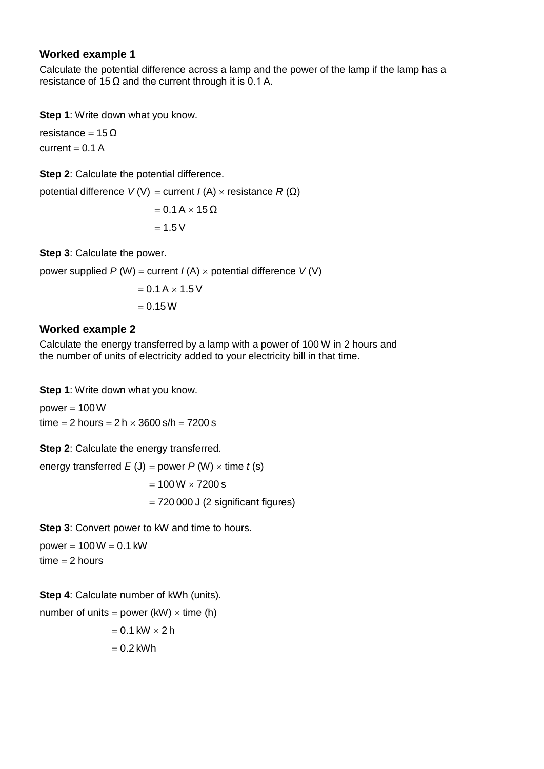#### **Worked example 1**

Calculate the potential difference across a lamp and the power of the lamp if the lamp has a resistance of 15  $\Omega$  and the current through it is 0.1 A.

**Step 1**: Write down what you know.

resistance =  $15 \Omega$ current  $= 0.1 A$ 

**Step 2**: Calculate the potential difference.

potential difference  $V(V) =$  current  $I(A) \times$  resistance  $R(Ω)$ 

$$
= 0.1 A \times 15 \Omega
$$

$$
= 1.5 V
$$

**Step 3**: Calculate the power.

power supplied  $P(W)$  = current  $I(A) \times$  potential difference  $V(V)$ 

$$
= 0.1 A \times 1.5 V
$$

$$
= 0.15 W
$$

## **Worked example 2**

Calculate the energy transferred by a lamp with a power of 100 W in 2 hours and the number of units of electricity added to your electricity bill in that time.

**Step 1**: Write down what you know.

power  $= 100W$ time  $= 2$  hours  $= 2 h \times 3600$  s/h  $= 7200$  s

**Step 2: Calculate the energy transferred.** 

energy transferred  $E(J) = power P(W) \times time t(s)$ 

 $= 100 W \times 7200 s$ 

 $= 720000$  J (2 significant figures)

**Step 3: Convert power to kW and time to hours.** 

power  $= 100 W = 0.1$  kW  $time = 2 hours$ 

**Step 4**: Calculate number of kWh (units).

number of units = power (kW)  $\times$  time (h)  $= 0.1$  kW  $\times$  2 h  $= 0.2$  kWh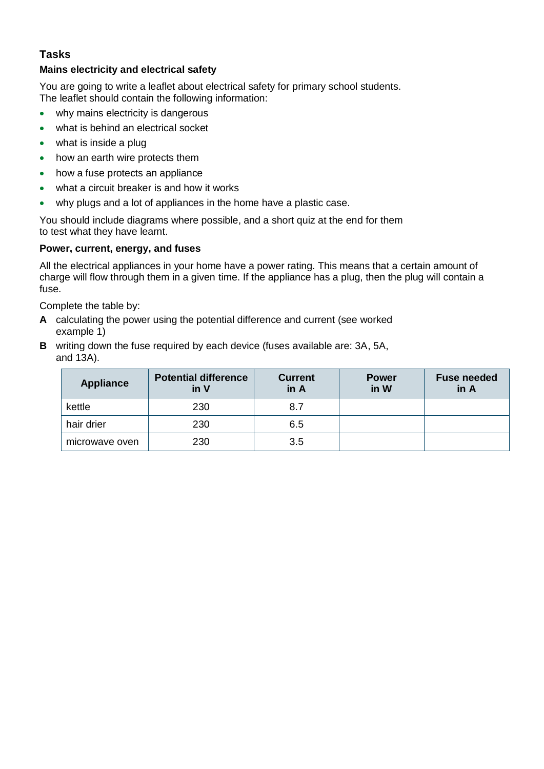# **Tasks**

#### **Mains electricity and electrical safety**

You are going to write a leaflet about electrical safety for primary school students. The leaflet should contain the following information:

- why mains electricity is dangerous
- what is behind an electrical socket
- what is inside a plug
- how an earth wire protects them
- how a fuse protects an appliance
- what a circuit breaker is and how it works
- why plugs and a lot of appliances in the home have a plastic case.

You should include diagrams where possible, and a short quiz at the end for them to test what they have learnt.

#### **Power, current, energy, and fuses**

All the electrical appliances in your home have a power rating. This means that a certain amount of charge will flow through them in a given time. If the appliance has a plug, then the plug will contain a fuse.

Complete the table by:

- **A** calculating the power using the potential difference and current (see worked example 1)
- **B** writing down the fuse required by each device (fuses available are: 3A, 5A, and 13A).

| <b>Appliance</b> | <b>Potential difference</b><br>in V | <b>Current</b><br>in A | <b>Power</b><br>in W | <b>Fuse needed</b><br>in A |
|------------------|-------------------------------------|------------------------|----------------------|----------------------------|
| kettle           | 230                                 | 8.7                    |                      |                            |
| hair drier       | 230                                 | 6.5                    |                      |                            |
| microwave oven   | 230                                 | 3.5                    |                      |                            |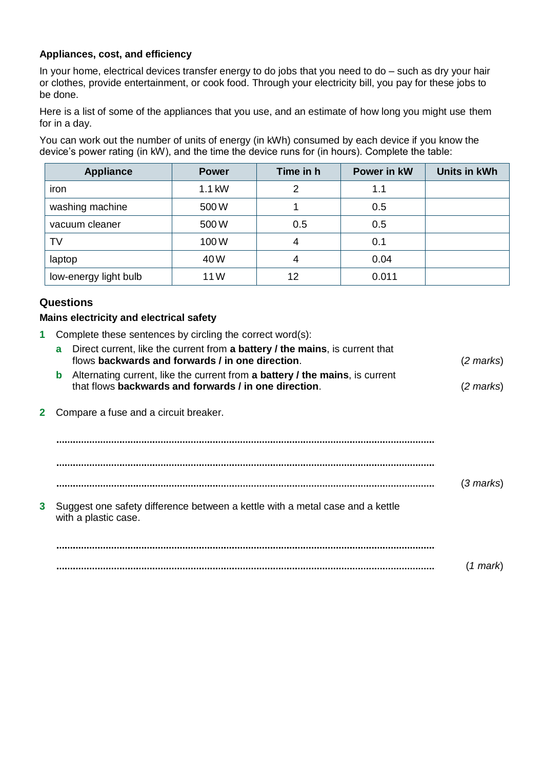#### **Appliances, cost, and efficiency**

In your home, electrical devices transfer energy to do jobs that you need to do – such as dry your hair or clothes, provide entertainment, or cook food. Through your electricity bill, you pay for these jobs to be done.

Here is a list of some of the appliances that you use, and an estimate of how long you might use them for in a day.

You can work out the number of units of energy (in kWh) consumed by each device if you know the device's power rating (in kW), and the time the device runs for (in hours). Complete the table:

| <b>Appliance</b>      | <b>Power</b> | Time in h | Power in kW | Units in kWh |
|-----------------------|--------------|-----------|-------------|--------------|
| iron                  | 1.1 kW       | 2         | 1.1         |              |
| washing machine       | 500W         |           | 0.5         |              |
| vacuum cleaner        | 500W         | 0.5       | 0.5         |              |
| TV                    | 100W         | 4         | 0.1         |              |
| laptop                | 40W          | 4         | 0.04        |              |
| low-energy light bulb | 11W          | 12        | 0.011       |              |

### **Questions**

#### **Mains electricity and electrical safety**

**1** Complete these sentences by circling the correct word(s):

|   | Direct current, like the current from a battery / the mains, is current that<br>a<br>flows backwards and forwards / in one direction.      | (2 marks) |
|---|--------------------------------------------------------------------------------------------------------------------------------------------|-----------|
|   | Alternating current, like the current from a battery / the mains, is current<br>b<br>that flows backwards and forwards / in one direction. | (2 marks) |
|   | Compare a fuse and a circuit breaker.                                                                                                      |           |
|   |                                                                                                                                            |           |
|   |                                                                                                                                            | (3 marks) |
| 3 | Suggest one safety difference between a kettle with a metal case and a kettle<br>with a plastic case.                                      |           |
|   |                                                                                                                                            |           |
|   |                                                                                                                                            | (1 mark)  |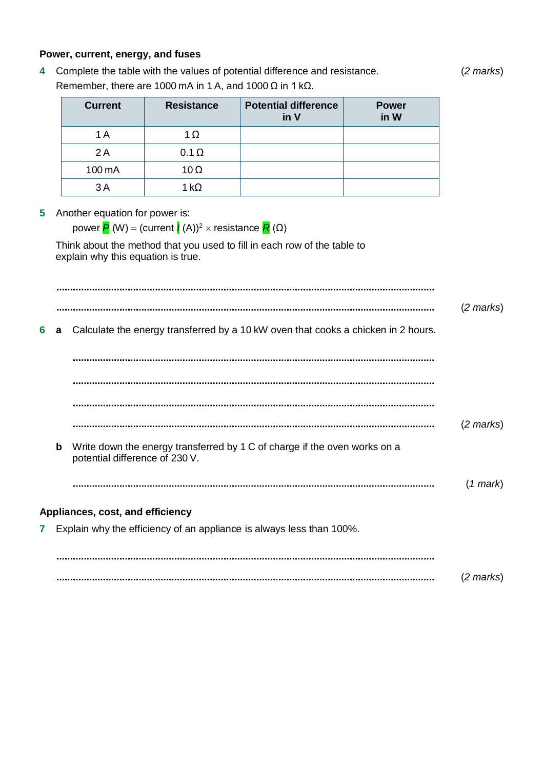#### **Power, current, energy, and fuses**

**4** Complete the table with the values of potential difference and resistance. (*2 marks*) Remember, there are 1000 mA in 1 A, and 1000  $\Omega$  in 1 k $\Omega$ .

| <b>Current</b> | <b>Resistance</b> | <b>Potential difference</b><br>in V | <b>Power</b><br>in W |
|----------------|-------------------|-------------------------------------|----------------------|
| 1 A            | 1 $\Omega$        |                                     |                      |
| 2A             | $0.1 \Omega$      |                                     |                      |
| 100 mA         | $10\Omega$        |                                     |                      |
| ЗA             | 1 kO              |                                     |                      |

#### **5** Another equation for power is:

power  $P(N) = (current *I*(A))^2 \times resistance *R*(Ω)$ 

Think about the method that you used to fill in each row of the table to explain why this equation is true.

(*2 marks*) **6 a** Calculate the energy transferred by a 10 kW oven that cooks a chicken in 2 hours. (*2 marks*) **b** Write down the energy transferred by 1 C of charge if the oven works on a potential difference of 230 V. (*1 mark*) **Appliances, cost, and efficiency 7** Explain why the efficiency of an appliance is always less than 100%. (*2 marks*)